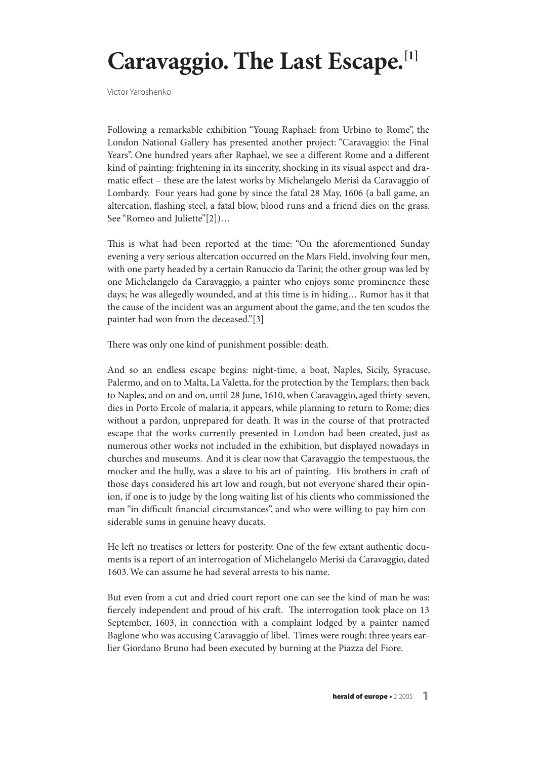## **Caravaggio. The Last Escape. [1]**

Victor Yaroshenko

Following a remarkable exhibition "Young Raphael: from Urbino to Rome", the London National Gallery has presented another project: "Caravaggio: the Final Years". One hundred years after Raphael, we see a different Rome and a different kind of painting: frightening in its sincerity, shocking in its visual aspect and dramatic effect – these are the latest works by Michelangelo Merisi da Caravaggio of Lombardy. Four years had gone by since the fatal 28 May, 1606 (a ball game, an altercation, flashing steel, a fatal blow, blood runs and a friend dies on the grass. See "Romeo and Juliette"[2])…

This is what had been reported at the time: "On the aforementioned Sunday evening a very serious altercation occurred on the Mars Field, involving four men, with one party headed by a certain Ranuccio da Tarini; the other group was led by one Michelangelo da Caravaggio, a painter who enjoys some prominence these days; he was allegedly wounded, and at this time is in hiding… Rumor has it that the cause of the incident was an argument about the game, and the ten scudos the painter had won from the deceased."[3]

There was only one kind of punishment possible: death.

And so an endless escape begins: night-time, a boat, Naples, Sicily, Syracuse, Palermo, and on to Malta, La Valetta, for the protection by the Templars; then back to Naples, and on and on, until 28 June, 1610,when Caravaggio, aged thirty-seven, dies in Porto Ercole of malaria, it appears, while planning to return to Rome; dies without a pardon, unprepared for death. It was in the course of that protracted escape that the works currently presented in London had been created, just as numerous other works not included in the exhibition, but displayed nowadays in churches and museums. And it is clear now that Caravaggio the tempestuous, the mocker and the bully, was a slave to his art of painting. His brothers in craft of those days considered his art low and rough, but not everyone shared their opinion, if one is to judge by the long waiting list of his clients who commissioned the man "in difficult financial circumstances", and who were willing to pay him considerable sums in genuine heavy ducats.

He left no treatises or letters for posterity. One of the few extant authentic documents is a report of an interrogation of Michelangelo Merisi da Caravaggio, dated 1603.We can assume he had several arrests to his name.

But even from a cut and dried court report one can see the kind of man he was: fiercely independent and proud of his craft. The interrogation took place on 13 September, 1603, in connection with a complaint lodged by a painter named Baglone who was accusing Caravaggio of libel. Times were rough: three years earlier Giordano Bruno had been executed by burning at the Piazza del Fiore.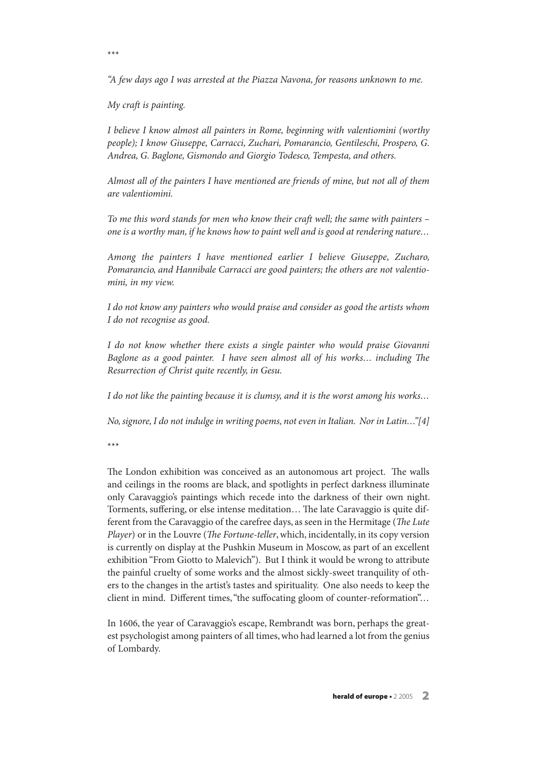"A few days ago I was arrested at the Piazza Navona, for reasons unknown to me.

My craft is painting.

I believe I know almost all painters in Rome, beginning with valentiomini (worthy people); I know Giuseppe, Carracci, Zuchari, Pomarancio, Gentileschi, Prospero, G. Andrea, G. Baglone, Gismondo and Giorgio Todesco, Tempesta, and others.

Almost all of the painters I have mentioned are friends of mine, but not all of them are valentiomini.

To me this word stands for men who know their craft well; the same with painters – one is a worthy man, if he knows how to paint well and is good at rendering nature…

Among the painters I have mentioned earlier I believe Giuseppe, Zucharo, Pomarancio, and Hannibale Carracci are good painters; the others are not valentiomini, in my view.

I do not know any painters who would praise and consider as good the artists whom I do not recognise as good.

I do not know whether there exists a single painter who would praise Giovanni Baglone as a good painter. I have seen almost all of his works... including The Resurrection of Christ quite recently, in Gesu.

I do not like the painting because it is clumsy, and it is the worst among his works…

No,signore,I do not indulge in writing poems, not even in Italian. Nor in Latin…"[4]

\*\*\*

The London exhibition was conceived as an autonomous art project. The walls and ceilings in the rooms are black, and spotlights in perfect darkness illuminate only Caravaggio's paintings which recede into the darkness of their own night. Torments, suffering, or else intense meditation... The late Caravaggio is quite different from the Caravaggio of the carefree days, as seen in the Hermitage (The Lute Player) or in the Louvre (The Fortune-teller, which, incidentally, in its copy version is currently on display at the Pushkin Museum in Moscow, as part of an excellent exhibition "From Giotto to Malevich"). But I think it would be wrong to attribute the painful cruelty of some works and the almost sickly-sweet tranquility of others to the changes in the artist's tastes and spirituality. One also needs to keep the client in mind. Different times, "the suffocating gloom of counter-reformation"...

In 1606, the year of Caravaggio's escape, Rembrandt was born, perhaps the greatest psychologist among painters of all times, who had learned a lot from the genius of Lombardy.

\*\*\*